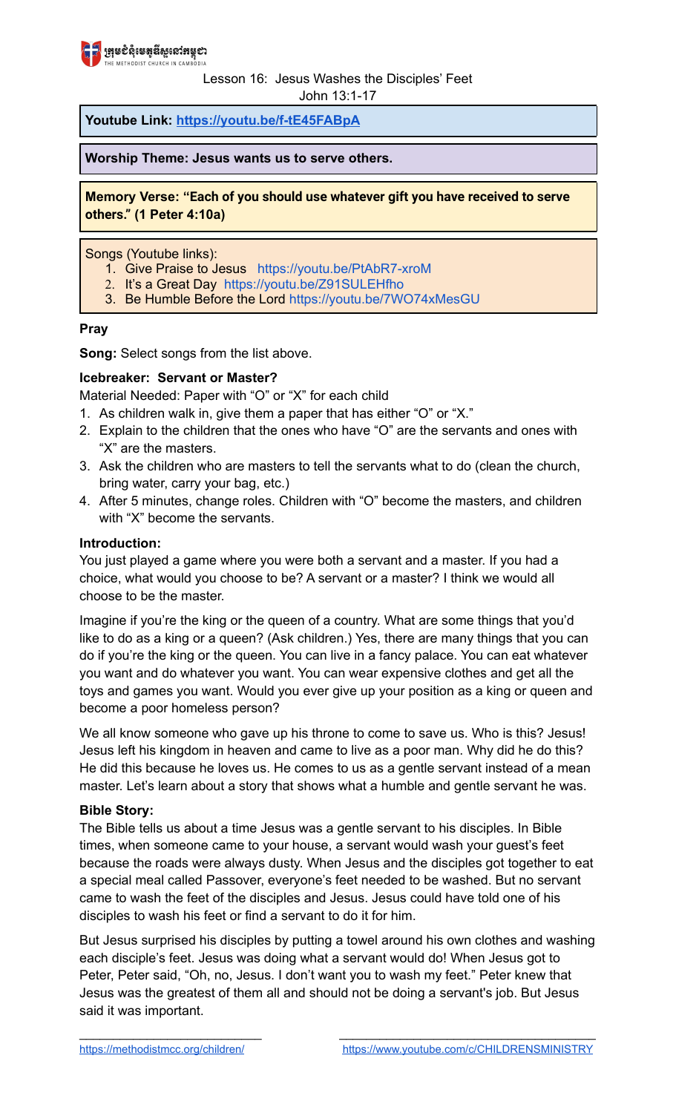

## Lesson 16: Jesus Washes the Disciples' Feet

John 13:1-17

**Youtube Link: <https://youtu.be/f-tE45FABpA>**

**Worship Theme: Jesus wants us to serve others.**

**Memory Verse: "Each of you should use whatever gift you have received to serve others." (1 Peter 4:10a)**

Songs (Youtube links):

- 1. Give Praise to Jesus [https://youtu.be/PtAbR7-xroM](https://youtu.be/PtAbR7-xroM%E2%80%8B)
- 2. It's a Great Day <https://youtu.be/Z91SULEHfho>
- 3. Be Humble Before the Lord <https://youtu.be/7WO74xMesGU>

### **Pray**

**Song:** Select songs from the list above.

### **Icebreaker: Servant or Master?**

Material Needed: Paper with "O" or "X" for each child

- 1. As children walk in, give them a paper that has either "O" or "X."
- 2. Explain to the children that the ones who have "O" are the servants and ones with "X" are the masters.
- 3. Ask the children who are masters to tell the servants what to do (clean the church, bring water, carry your bag, etc.)
- 4. After 5 minutes, change roles. Children with "O" become the masters, and children with "X" become the servants.

### **Introduction:**

You just played a game where you were both a servant and a master. If you had a choice, what would you choose to be? A servant or a master? I think we would all choose to be the master.

Imagine if you're the king or the queen of a country. What are some things that you'd like to do as a king or a queen? (Ask children.) Yes, there are many things that you can do if you're the king or the queen. You can live in a fancy palace. You can eat whatever you want and do whatever you want. You can wear expensive clothes and get all the toys and games you want. Would you ever give up your position as a king or queen and become a poor homeless person?

We all know someone who gave up his throne to come to save us. Who is this? Jesus! Jesus left his kingdom in heaven and came to live as a poor man. Why did he do this? He did this because he loves us. He comes to us as a gentle servant instead of a mean master. Let's learn about a story that shows what a humble and gentle servant he was.

#### **Bible Story:**

The Bible tells us about a time Jesus was a gentle servant to his disciples. In Bible times, when someone came to your house, a servant would wash your guest's feet because the roads were always dusty. When Jesus and the disciples got together to eat a special meal called Passover, everyone's feet needed to be washed. But no servant came to wash the feet of the disciples and Jesus. Jesus could have told one of his disciples to wash his feet or find a servant to do it for him.

But Jesus surprised his disciples by putting a towel around his own clothes and washing each disciple's feet. Jesus was doing what a servant would do! When Jesus got to Peter, Peter said, "Oh, no, Jesus. I don't want you to wash my feet." Peter knew that Jesus was the greatest of them all and should not be doing a servant's job. But Jesus said it was important.

 $\overline{\phantom{a}}$  , and the contribution of the contribution of  $\overline{\phantom{a}}$  , and the contribution of  $\overline{\phantom{a}}$